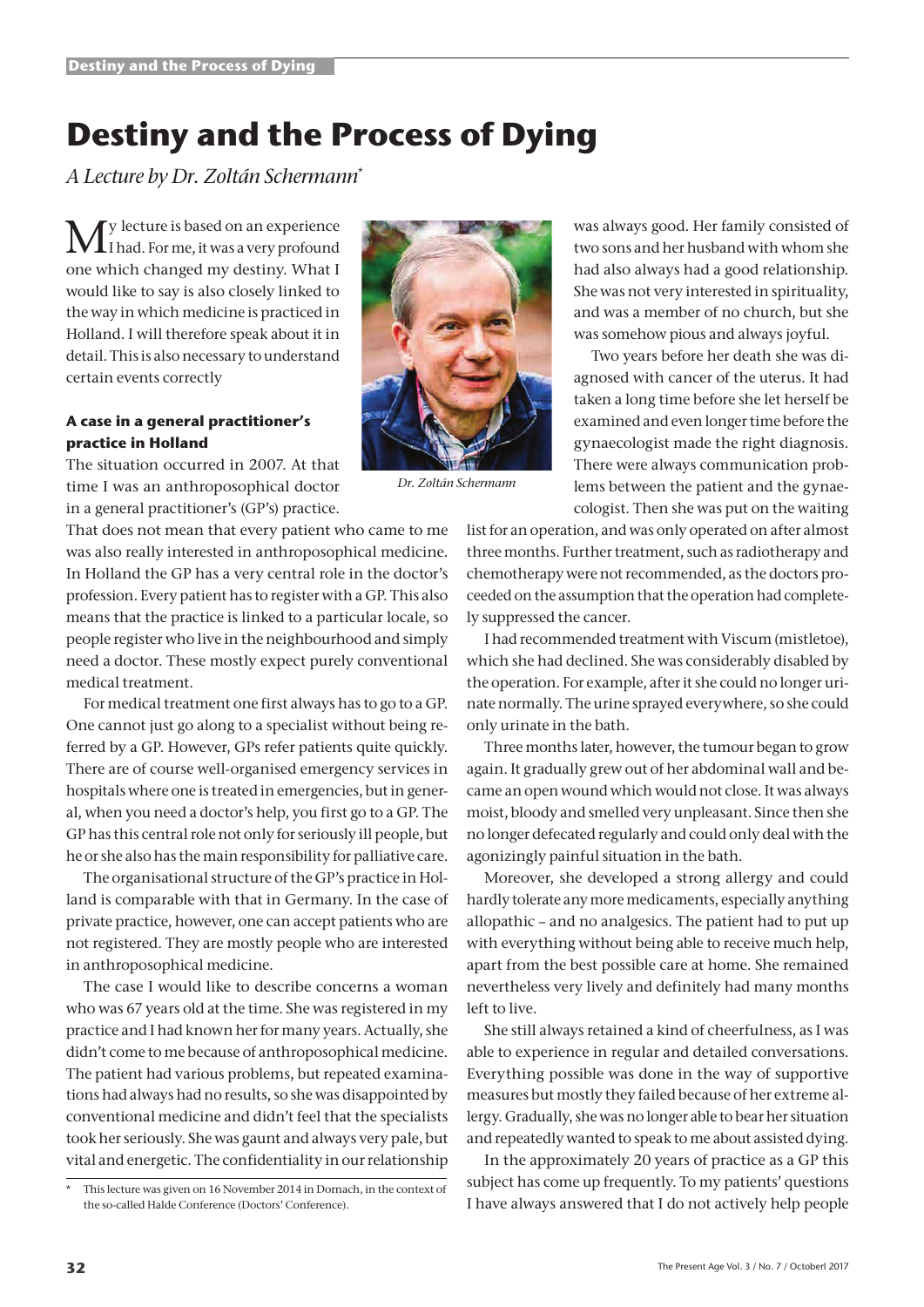# **Destiny and the Process of Dying**

*A Lecture by Dr. Zoltán Schermann*\*

 $\mathbf{M}^\text{y}$  lecture is based on an experience<br>If had. For me, it was a very profound ly lecture is based on an experience one which changed my destiny. What I would like to say is also closely linked to the way in which medicine is practiced in Holland. I will therefore speak about it in detail. This is also necessary to understand certain events correctly

## **A case in a general practitioner's practice in Holland**



*Dr. Zoltán Schermann*

The situation occurred in 2007. At that time I was an anthroposophical doctor in a general practitioner's (GP's) practice.

That does not mean that every patient who came to me was also really interested in anthroposophical medicine. In Holland the GP has a very central role in the doctor's profession. Every patient has to register with a GP. This also means that the practice is linked to a particular locale, so people register who live in the neighbourhood and simply need a doctor. These mostly expect purely conventional medical treatment.

For medical treatment one first always has to go to a GP. One cannot just go along to a specialist without being referred by a GP. However, GPs refer patients quite quickly. There are of course well-organised emergency services in hospitals where one is treated in emergencies, but in general, when you need a doctor's help, you first go to a GP. The GP has this central role not only for seriously ill people, but he or she also has the main responsibility for palliative care.

The organisational structure of the GP's practice in Holland is comparable with that in Germany. In the case of private practice, however, one can accept patients who are not registered. They are mostly people who are interested in anthroposophical medicine.

The case I would like to describe concerns a woman who was 67 years old at the time. She was registered in my practice and I had known her for many years. Actually, she didn't come to me because of anthroposophical medicine. The patient had various problems, but repeated examinations had always had no results, so she was disappointed by conventional medicine and didn't feel that the specialists took her seriously. She was gaunt and always very pale, but vital and energetic. The confidentiality in our relationship was always good. Her family consisted of two sons and her husband with whom she had also always had a good relationship. She was not very interested in spirituality, and was a member of no church, but she was somehow pious and always joyful.

Two years before her death she was diagnosed with cancer of the uterus. It had taken a long time before she let herself be examined and even longer time before the gynaecologist made the right diagnosis. There were always communication problems between the patient and the gynaecologist. Then she was put on the waiting

list for an operation, and was only operated on after almost three months. Further treatment, such as radiotherapy and chemotherapy were not recommended, as the doctors proceeded on the assumption that the operation had completely suppressed the cancer.

I had recommended treatment with Viscum (mistletoe), which she had declined. She was considerably disabled by the operation. For example, after it she could no longer urinate normally. The urine sprayed everywhere, so she could only urinate in the bath.

Three months later, however, the tumour began to grow again. It gradually grew out of her abdominal wall and became an open wound which would not close. It was always moist, bloody and smelled very unpleasant. Since then she no longer defecated regularly and could only deal with the agonizingly painful situation in the bath.

Moreover, she developed a strong allergy and could hardly tolerate any more medicaments, especially anything allopathic – and no analgesics. The patient had to put up with everything without being able to receive much help, apart from the best possible care at home. She remained nevertheless very lively and definitely had many months left to live.

She still always retained a kind of cheerfulness, as I was able to experience in regular and detailed conversations. Everything possible was done in the way of supportive measures but mostly they failed because of her extreme allergy. Gradually, she was no longer able to bear her situation and repeatedly wanted to speak to me about assisted dying.

In the approximately 20 years of practice as a GP this subject has come up frequently. To my patients' questions I have always answered that I do not actively help people

This lecture was given on 16 November 2014 in Dornach, in the context of the so-called Halde Conference (Doctors' Conference).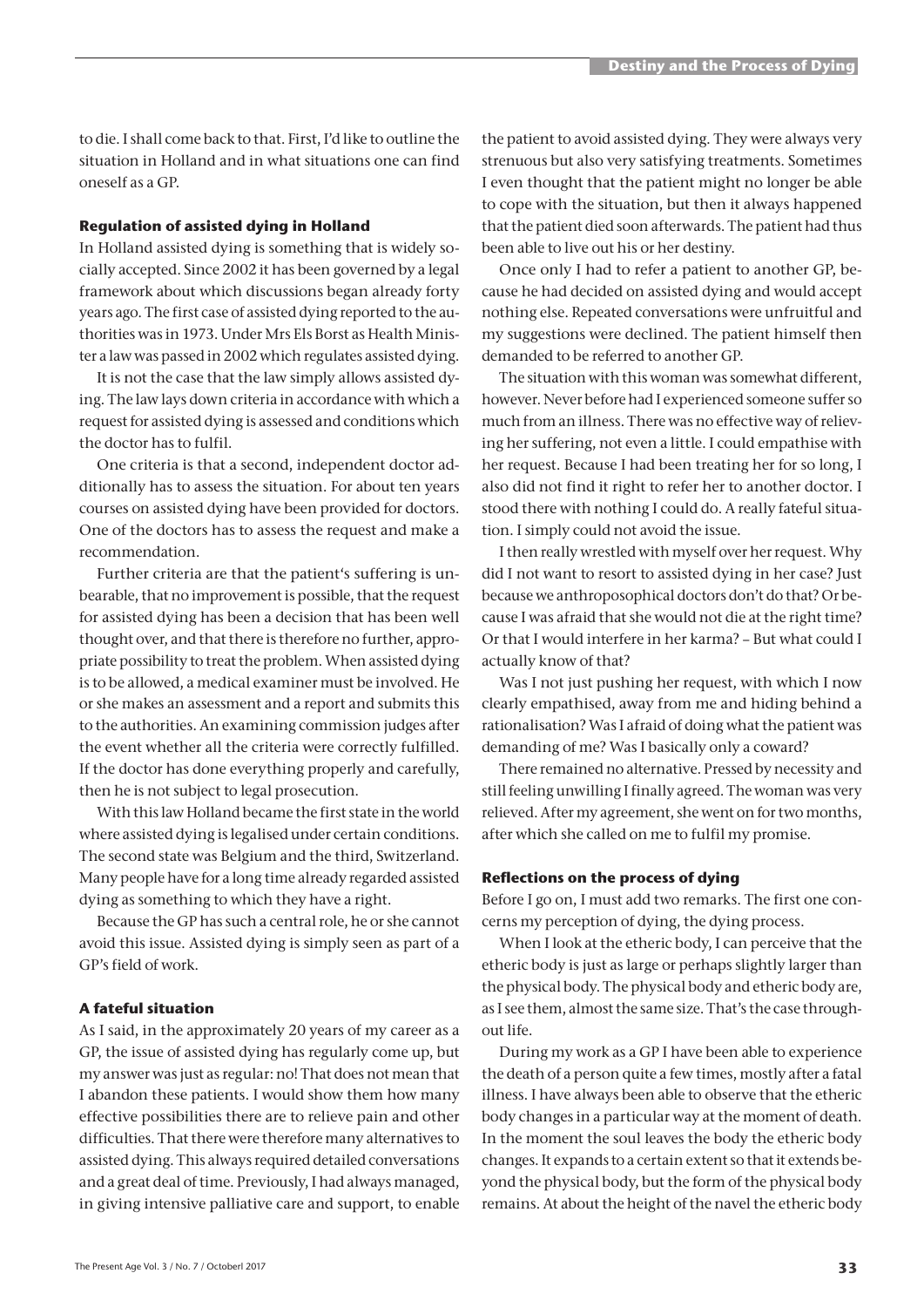to die. I shall come back to that. First, I'd like to outline the situation in Holland and in what situations one can find oneself as a GP.

### **Regulation of assisted dying in Holland**

In Holland assisted dying is something that is widely socially accepted. Since 2002 it has been governed by a legal framework about which discussions began already forty years ago. The first case of assisted dying reported to the authorities was in 1973. Under Mrs Els Borst as Health Minister a law was passed in 2002 which regulates assisted dying.

It is not the case that the law simply allows assisted dying. The law lays down criteria in accordance with which a request for assisted dying is assessed and conditions which the doctor has to fulfil.

One criteria is that a second, independent doctor additionally has to assess the situation. For about ten years courses on assisted dying have been provided for doctors. One of the doctors has to assess the request and make a recommendation.

Further criteria are that the patient's suffering is unbearable, that no improvement is possible, that the request for assisted dying has been a decision that has been well thought over, and that there is therefore no further, appropriate possibility to treat the problem. When assisted dying is to be allowed, a medical examiner must be involved. He or she makes an assessment and a report and submits this to the authorities. An examining commission judges after the event whether all the criteria were correctly fulfilled. If the doctor has done everything properly and carefully, then he is not subject to legal prosecution.

With this law Holland became the first state in the world where assisted dying is legalised under certain conditions. The second state was Belgium and the third, Switzerland. Many people have for a long time already regarded assisted dying as something to which they have a right.

Because the GP has such a central role, he or she cannot avoid this issue. Assisted dying is simply seen as part of a GP's field of work.

## **A fateful situation**

As I said, in the approximately 20 years of my career as a GP, the issue of assisted dying has regularly come up, but my answer was just as regular: no! That does not mean that I abandon these patients. I would show them how many effective possibilities there are to relieve pain and other difficulties. That there were therefore many alternatives to assisted dying. This always required detailed conversations and a great deal of time. Previously, I had always managed, in giving intensive palliative care and support, to enable

the patient to avoid assisted dying. They were always very strenuous but also very satisfying treatments. Sometimes I even thought that the patient might no longer be able to cope with the situation, but then it always happened that the patient died soon afterwards. The patient had thus been able to live out his or her destiny.

Once only I had to refer a patient to another GP, because he had decided on assisted dying and would accept nothing else. Repeated conversations were unfruitful and my suggestions were declined. The patient himself then demanded to be referred to another GP.

The situation with this woman was somewhat different, however. Never before had I experienced someone suffer so much from an illness. There was no effective way of relieving her suffering, not even a little. I could empathise with her request. Because I had been treating her for so long, I also did not find it right to refer her to another doctor. I stood there with nothing I could do. A really fateful situation. I simply could not avoid the issue.

I then really wrestled with myself over her request. Why did I not want to resort to assisted dying in her case? Just because we anthroposophical doctors don't do that? Or because I was afraid that she would not die at the right time? Or that I would interfere in her karma? – But what could I actually know of that?

Was I not just pushing her request, with which I now clearly empathised, away from me and hiding behind a rationalisation? Was I afraid of doing what the patient was demanding of me? Was I basically only a coward?

There remained no alternative. Pressed by necessity and still feeling unwilling I finally agreed. The woman was very relieved. After my agreement, she went on for two months, after which she called on me to fulfil my promise.

### **Reflections on the process of dying**

Before I go on, I must add two remarks. The first one concerns my perception of dying, the dying process.

When I look at the etheric body, I can perceive that the etheric body is just as large or perhaps slightly larger than the physical body. The physical body and etheric body are, as I see them, almost the same size. That's the case throughout life.

During my work as a GP I have been able to experience the death of a person quite a few times, mostly after a fatal illness. I have always been able to observe that the etheric body changes in a particular way at the moment of death. In the moment the soul leaves the body the etheric body changes. It expands to a certain extent so that it extends beyond the physical body, but the form of the physical body remains. At about the height of the navel the etheric body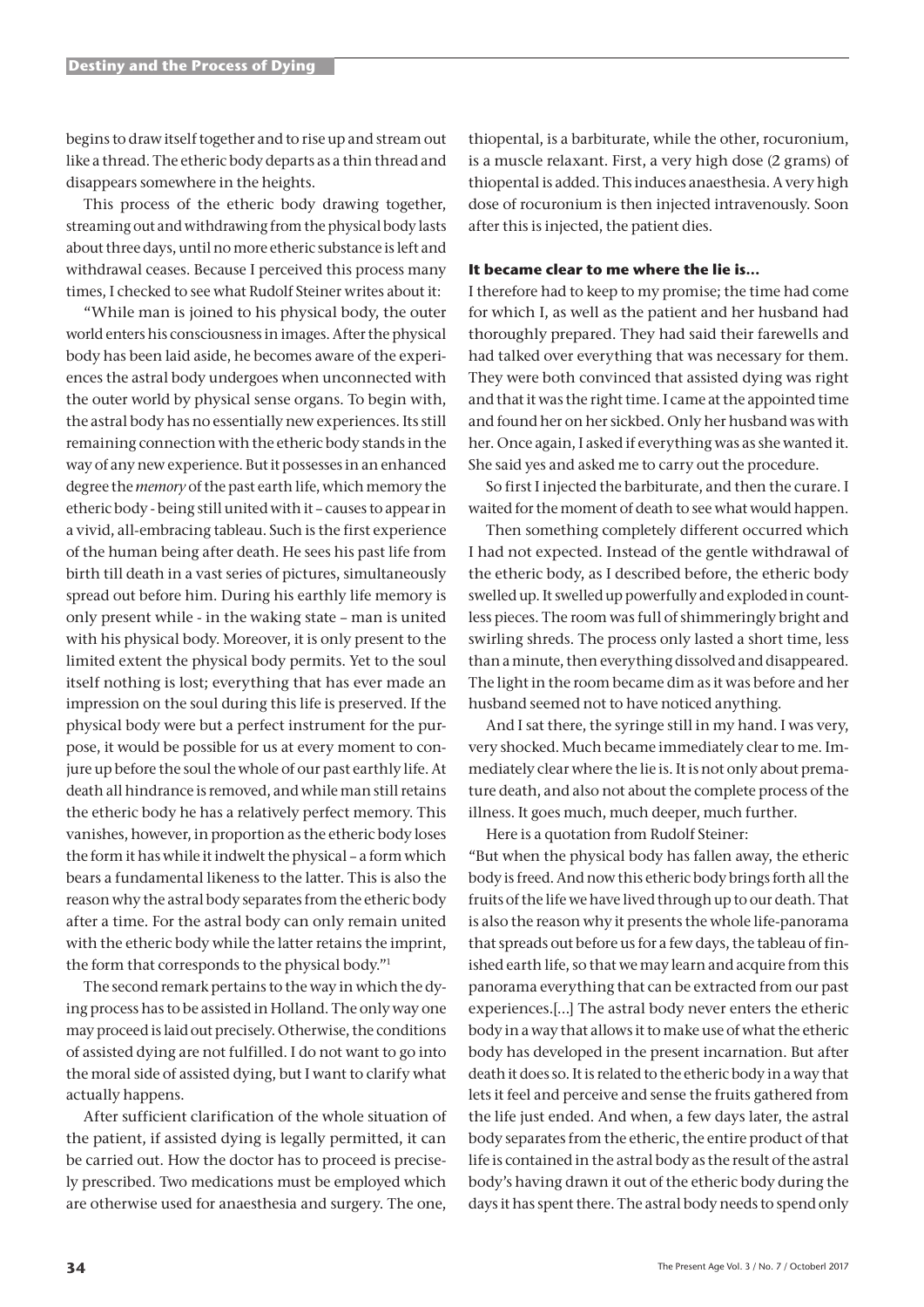begins to draw itself together and to rise up and stream out like a thread. The etheric body departs as a thin thread and disappears somewhere in the heights.

This process of the etheric body drawing together, streaming out and withdrawing from the physical body lasts about three days, until no more etheric substance is left and withdrawal ceases. Because I perceived this process many times, I checked to see what Rudolf Steiner writes about it:

"While man is joined to his physical body, the outer world enters his consciousness in images. After the physical body has been laid aside, he becomes aware of the experiences the astral body undergoes when unconnected with the outer world by physical sense organs. To begin with, the astral body has no essentially new experiences. Its still remaining connection with the etheric body stands in the way of any new experience. But it possesses in an enhanced degree the *memory* of the past earth life, which memory the etheric body - being still united with it – causes to appear in a vivid, all-embracing tableau. Such is the first experience of the human being after death. He sees his past life from birth till death in a vast series of pictures, simultaneously spread out before him. During his earthly life memory is only present while - in the waking state – man is united with his physical body. Moreover, it is only present to the limited extent the physical body permits. Yet to the soul itself nothing is lost; everything that has ever made an impression on the soul during this life is preserved. If the physical body were but a perfect instrument for the purpose, it would be possible for us at every moment to conjure up before the soul the whole of our past earthly life. At death all hindrance is removed, and while man still retains the etheric body he has a relatively perfect memory. This vanishes, however, in proportion as the etheric body loses the form it has while it indwelt the physical – a form which bears a fundamental likeness to the latter. This is also the reason why the astral body separates from the etheric body after a time. For the astral body can only remain united with the etheric body while the latter retains the imprint, the form that corresponds to the physical body."1

The second remark pertains to the way in which the dying process has to be assisted in Holland. The only way one may proceed is laid out precisely. Otherwise, the conditions of assisted dying are not fulfilled. I do not want to go into the moral side of assisted dying, but I want to clarify what actually happens.

After sufficient clarification of the whole situation of the patient, if assisted dying is legally permitted, it can be carried out. How the doctor has to proceed is precisely prescribed. Two medications must be employed which are otherwise used for anaesthesia and surgery. The one,

thiopental, is a barbiturate, while the other, rocuronium, is a muscle relaxant. First, a very high dose (2 grams) of thiopental is added. This induces anaesthesia. A very high dose of rocuronium is then injected intravenously. Soon after this is injected, the patient dies.

### **It became clear to me where the lie is...**

I therefore had to keep to my promise; the time had come for which I, as well as the patient and her husband had thoroughly prepared. They had said their farewells and had talked over everything that was necessary for them. They were both convinced that assisted dying was right and that it was the right time. I came at the appointed time and found her on her sickbed. Only her husband was with her. Once again, I asked if everything was as she wanted it. She said yes and asked me to carry out the procedure.

So first I injected the barbiturate, and then the curare. I waited for the moment of death to see what would happen.

Then something completely different occurred which I had not expected. Instead of the gentle withdrawal of the etheric body, as I described before, the etheric body swelled up. It swelled up powerfully and exploded in countless pieces. The room was full of shimmeringly bright and swirling shreds. The process only lasted a short time, less than a minute, then everything dissolved and disappeared. The light in the room became dim as it was before and her husband seemed not to have noticed anything.

And I sat there, the syringe still in my hand. I was very, very shocked. Much became immediately clear to me. Immediately clear where the lie is. It is not only about premature death, and also not about the complete process of the illness. It goes much, much deeper, much further.

Here is a quotation from Rudolf Steiner:

"But when the physical body has fallen away, the etheric body is freed. And now this etheric body brings forth all the fruits of the life we have lived through up to our death. That is also the reason why it presents the whole life-panorama that spreads out before us for a few days, the tableau of finished earth life, so that we may learn and acquire from this panorama everything that can be extracted from our past experiences.[…] The astral body never enters the etheric body in a way that allows it to make use of what the etheric body has developed in the present incarnation. But after death it does so. It is related to the etheric body in a way that lets it feel and perceive and sense the fruits gathered from the life just ended. And when, a few days later, the astral body separates from the etheric, the entire product of that life is contained in the astral body as the result of the astral body's having drawn it out of the etheric body during the days it has spent there. The astral body needs to spend only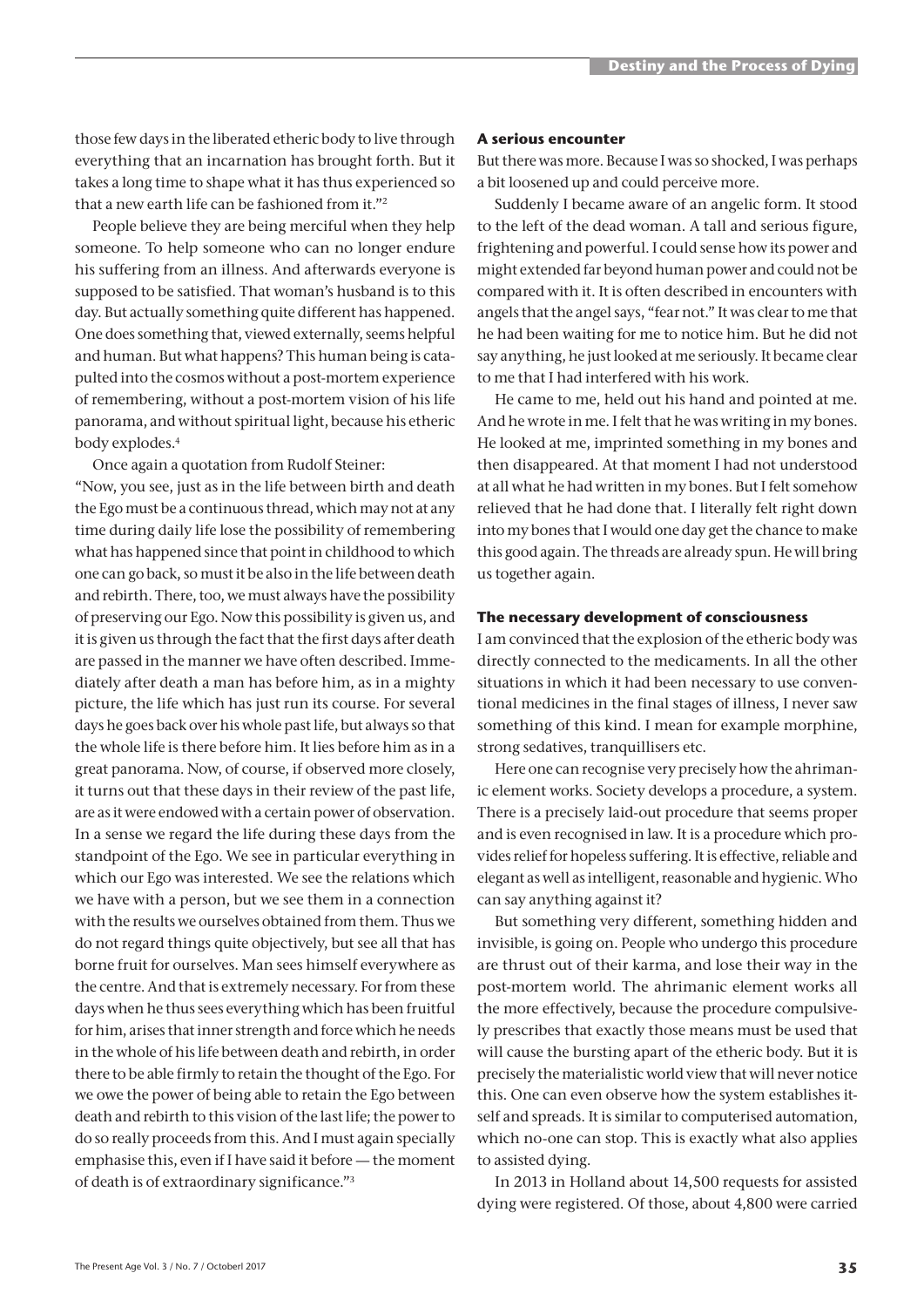those few days in the liberated etheric body to live through everything that an incarnation has brought forth. But it takes a long time to shape what it has thus experienced so that a new earth life can be fashioned from it."2

People believe they are being merciful when they help someone. To help someone who can no longer endure his suffering from an illness. And afterwards everyone is supposed to be satisfied. That woman's husband is to this day. But actually something quite different has happened. One does something that, viewed externally, seems helpful and human. But what happens? This human being is catapulted into the cosmos without a post-mortem experience of remembering, without a post-mortem vision of his life panorama, and without spiritual light, because his etheric body explodes.4

Once again a quotation from Rudolf Steiner: "Now, you see, just as in the life between birth and death the Ego must be a continuous thread, which may not at any time during daily life lose the possibility of remembering what has happened since that point in childhood to which one can go back, so must it be also in the life between death and rebirth. There, too, we must always have the possibility of preserving our Ego. Now this possibility is given us, and it is given us through the fact that the first days after death are passed in the manner we have often described. Immediately after death a man has before him, as in a mighty picture, the life which has just run its course. For several days he goes back over his whole past life, but always so that the whole life is there before him. It lies before him as in a great panorama. Now, of course, if observed more closely, it turns out that these days in their review of the past life, are as it were endowed with a certain power of observation. In a sense we regard the life during these days from the standpoint of the Ego. We see in particular everything in which our Ego was interested. We see the relations which we have with a person, but we see them in a connection with the results we ourselves obtained from them. Thus we do not regard things quite objectively, but see all that has borne fruit for ourselves. Man sees himself everywhere as the centre. And that is extremely necessary. For from these days when he thus sees everything which has been fruitful for him, arises that inner strength and force which he needs in the whole of his life between death and rebirth, in order there to be able firmly to retain the thought of the Ego. For we owe the power of being able to retain the Ego between death and rebirth to this vision of the last life; the power to do so really proceeds from this. And I must again specially emphasise this, even if I have said it before — the moment of death is of extraordinary significance."3

### **A serious encounter**

But there was more. Because I was so shocked, I was perhaps a bit loosened up and could perceive more.

Suddenly I became aware of an angelic form. It stood to the left of the dead woman. A tall and serious figure, frightening and powerful. I could sense how its power and might extended far beyond human power and could not be compared with it. It is often described in encounters with angels that the angel says, "fear not." It was clear to me that he had been waiting for me to notice him. But he did not say anything, he just looked at me seriously. It became clear to me that I had interfered with his work.

He came to me, held out his hand and pointed at me. And he wrote in me. I felt that he was writing in my bones. He looked at me, imprinted something in my bones and then disappeared. At that moment I had not understood at all what he had written in my bones. But I felt somehow relieved that he had done that. I literally felt right down into my bones that I would one day get the chance to make this good again. The threads are already spun. He will bring us together again.

### **The necessary development of consciousness**

I am convinced that the explosion of the etheric body was directly connected to the medicaments. In all the other situations in which it had been necessary to use conventional medicines in the final stages of illness, I never saw something of this kind. I mean for example morphine, strong sedatives, tranquillisers etc.

Here one can recognise very precisely how the ahrimanic element works. Society develops a procedure, a system. There is a precisely laid-out procedure that seems proper and is even recognised in law. It is a procedure which provides relief for hopeless suffering. It is effective, reliable and elegant as well as intelligent, reasonable and hygienic. Who can say anything against it?

But something very different, something hidden and invisible, is going on. People who undergo this procedure are thrust out of their karma, and lose their way in the post-mortem world. The ahrimanic element works all the more effectively, because the procedure compulsively prescribes that exactly those means must be used that will cause the bursting apart of the etheric body. But it is precisely the materialistic world view that will never notice this. One can even observe how the system establishes itself and spreads. It is similar to computerised automation, which no-one can stop. This is exactly what also applies to assisted dying.

In 2013 in Holland about 14,500 requests for assisted dying were registered. Of those, about 4,800 were carried